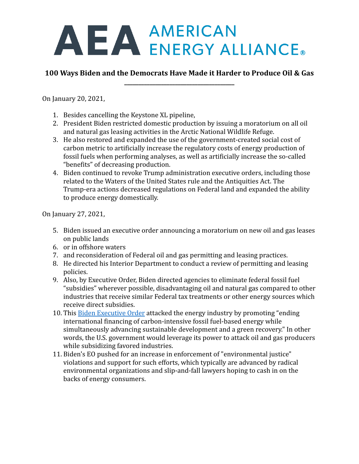# AEA AMERICAN<br>ENERGY ALLIANCE.

# **100 Ways Biden and the Democrats Have Made it Harder to Produce Oil & Gas \_\_\_\_\_\_\_\_\_\_\_\_\_\_\_\_\_\_\_\_\_\_\_\_\_\_\_\_\_\_\_\_\_\_\_\_\_\_\_**

On January 20, 2021,

- 1. Besides cancelling the Keystone XL pipeline,
- 2. President Biden restricted domestic production by issuing a moratorium on all oil and natural gas leasing activities in the Arctic National Wildlife Refuge.
- 3. He also restored and expanded the use of the government-created social cost of carbon metric to artificially increase the regulatory costs of energy production of fossil fuels when performing analyses, as well as artificially increase the so-called "benefits" of decreasing production.
- 4. Biden continued to revoke Trump administration executive orders, including those related to the Waters of the United States rule and the Antiquities Act. The Trump-era actions decreased regulations on Federal land and expanded the ability to produce energy domestically.

On January 27, 2021,

- 5. Biden issued an executive order announcing a moratorium on new oil and gas leases on public lands
- 6. or in offshore waters
- 7. and reconsideration of Federal oil and gas permitting and leasing practices.
- 8. He directed his Interior Department to conduct a review of permitting and leasing policies.
- 9. Also, by Executive Order, Biden directed agencies to eliminate federal fossil fuel "subsidies" wherever possible, disadvantaging oil and natural gas compared to other industries that receive similar Federal tax treatments or other energy sources which receive direct subsidies.
- 10. This [Biden Executive Order](https://www.whitehouse.gov/briefing-room/presidential-actions/2021/01/27/executive-order-on-tackling-the-climate-crisis-at-home-and-abroad/) attacked the energy industry by promoting "ending international financing of carbon-intensive fossil fuel-based energy while simultaneously advancing sustainable development and a green recovery." In other words, the U.S. government would leverage its power to attack oil and gas producers while subsidizing favored industries.
- 11. Biden's EO pushed for an increase in enforcement of "environmental justice" violations and support for such efforts, which typically are advanced by radical environmental organizations and slip-and-fall lawyers hoping to cash in on the backs of energy consumers.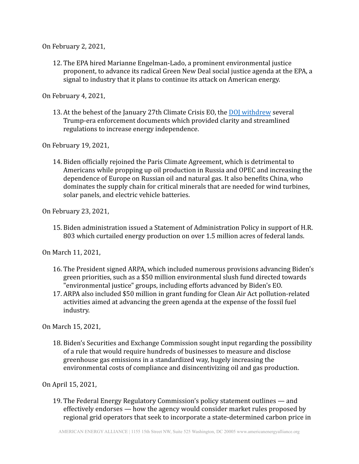On February 2, 2021,

12. The EPA hired Marianne Engelman-Lado, a prominent environmental justice proponent, to advance its radical Green New Deal social justice agenda at the EPA, a signal to industry that it plans to continue its attack on American energy.

On February 4, 2021,

13. At the behest of the January 27th Climate Crisis EO, the [DOJ withdrew](https://www.justice.gov/enrd/page/file/1364716/download) several Trump-era enforcement documents which provided clarity and streamlined regulations to increase energy independence.

On February 19, 2021,

14. Biden officially rejoined the Paris Climate Agreement, which is detrimental to Americans while propping up oil production in Russia and OPEC and increasing the dependence of Europe on Russian oil and natural gas. It also benefits China, who dominates the supply chain for critical minerals that are needed for wind turbines, solar panels, and electric vehicle batteries.

On February 23, 2021,

15. Biden administration issued a Statement of Administration Policy in support of H.R. 803 which curtailed energy production on over 1.5 million acres of federal lands.

On March 11, 2021,

- 16. The President signed ARPA, which included numerous provisions advancing Biden's green priorities, such as a \$50 million environmental slush fund directed towards "environmental justice" groups, including efforts advanced by Biden's EO.
- 17. ARPA also included \$50 million in grant funding for Clean Air Act pollution-related activities aimed at advancing the green agenda at the expense of the fossil fuel industry.

On March 15, 2021,

18. Biden's Securities and Exchange Commission sought input regarding the possibility of a rule that would require hundreds of businesses to measure and disclose greenhouse gas emissions in a standardized way, hugely increasing the environmental costs of compliance and disincentivizing oil and gas production.

On April 15, 2021,

19. The Federal Energy Regulatory Commission's policy statement outlines — and effectively endorses — how the agency would consider market rules proposed by regional grid operators that seek to incorporate a state-determined carbon price in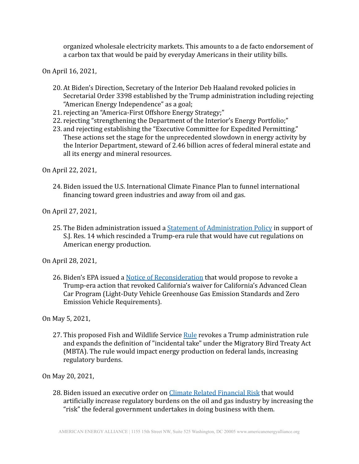organized wholesale electricity markets. This amounts to a de facto endorsement of a carbon tax that would be paid by everyday Americans in their utility bills.

On April 16, 2021,

- 20. At Biden's Direction, Secretary of the Interior Deb Haaland revoked policies in Secretarial Order 3398 established by the Trump administration including rejecting "American Energy Independence" as a goal;
- 21. rejecting an "America-First Offshore Energy Strategy;"
- 22. rejecting "strengthening the Department of the Interior's Energy Portfolio;"
- 23. and rejecting establishing the "Executive Committee for Expedited Permitting." These actions set the stage for the unprecedented slowdown in energy activity by the Interior Department, steward of 2.46 billion acres of federal mineral estate and all its energy and mineral resources.

On April 22, 2021,

24. Biden issued the U.S. International Climate Finance Plan to funnel international financing toward green industries and away from oil and gas.

On April 27, 2021,

25. The Biden administration issued a **[Statement of Administration](https://www.whitehouse.gov/wp-content/uploads/2021/04/SAP-S.J.-Res.-14.pdf) Policy** in support of S.J. Res. 14 which rescinded a Trump-era rule that would have cut regulations on American energy production.

On April 28, 2021,

26. Biden's EPA issued a [Notice of Reconsideration](https://www.epa.gov/regulations-emissions-vehicles-and-engines/notice-reconsideration-previous-withdrawal-waiver#rule-summary) that would propose to revoke a Trump-era action that revoked California's waiver for California's Advanced Clean Car Program (Light-Duty Vehicle Greenhouse Gas Emission Standards and Zero Emission Vehicle Requirements).

On May 5, 2021,

27. This proposed Fish and Wildlife Service [Rule](https://www.federalregister.gov/documents/2021/05/07/2021-09700/regulations-governing-take-of-migratory-birds-proposed-rule) revokes a Trump administration rule and expands the definition of "incidental take" under the Migratory Bird Treaty Act (MBTA). The rule would impact energy production on federal lands, increasing regulatory burdens.

On May 20, 2021,

28. Biden issued an executive order on [Climate Related](https://www.whitehouse.gov/briefing-room/presidential-actions/2021/05/20/executive-order-on-climate-related-financial-risk/) Financial Risk that would artificially increase regulatory burdens on the oil and gas industry by increasing the "risk" the federal government undertakes in doing business with them.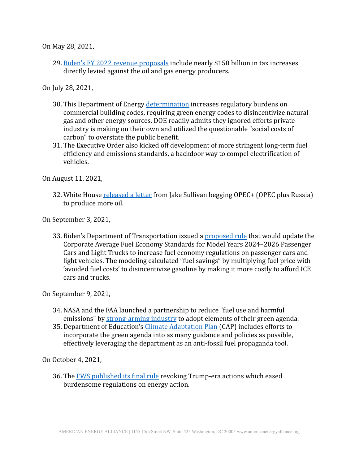On May 28, 2021,

29. [Biden's FY 2022 revenue proposals](https://home.treasury.gov/system/files/131/General-Explanations-FY2022.pdf) include nearly \$150 billion in tax increases directly levied against the oil and gas energy producers.

On July 28, 2021,

- 30. This Department of Energy [determination](https://www.govinfo.gov/content/pkg/FR-2021-07-28/pdf/2021-15971.pdf) increases regulatory burdens on commercial building codes, requiring green energy codes to disincentivize natural gas and other energy sources. DOE readily admits they ignored efforts private industry is making on their own and utilized the questionable "social costs of carbon" to overstate the public benefit.
- 31. The Executive Order also kicked off development of more stringent long-term fuel efficiency and emissions standards, a backdoor way to compel electrification of vehicles.

On August 11, 2021,

32. White House [released a letter](https://www.whitehouse.gov/briefing-room/statements-releases/2021/08/11/statement-by-national-security-advisor-jake-sullivan-on-the-need-for-reliable-and-stable-global-energy-markets/) from Jake Sullivan begging OPEC+ (OPEC plus Russia) to produce more oil.

On September 3, 2021,

33. Biden's Department of Transportation issued a [proposed](https://www.federalregister.gov/documents/2021/09/03/2021-17496/corporate-average-fuel-economy-standards-for-model-years-2024-2026-passenger-cars-and-light-trucks) rule that would update the Corporate Average Fuel Economy Standards for Model Years 2024–2026 Passenger Cars and Light Trucks to increase fuel economy regulations on passenger cars and light vehicles. The modeling calculated "fuel savings" by multiplying fuel price with 'avoided fuel costs' to disincentivize gasoline by making it more costly to afford ICE cars and trucks.

On September 9, 2021,

- 34. NASA and the FAA launched a partnership to reduce "fuel use and harmful emissions" by [strong-arming industry](https://www.nasa.gov/aeroresearch/nasa-aims-for-climate-friendly-aviation/) to adopt elements of their green agenda.
- 35. Department of Education's [Climate Adaptation Plan](https://www.sustainability.gov/pdfs/ed-2021-cap.pdf) (CAP) includes efforts to incorporate the green agenda into as many guidance and policies as possible, effectively leveraging the department as an anti-fossil fuel propaganda tool.

On October 4, 2021,

36. The [FWS published its final rule](https://www.fws.gov/regulations/mbta/) revoking Trump-era actions which eased burdensome regulations on energy action.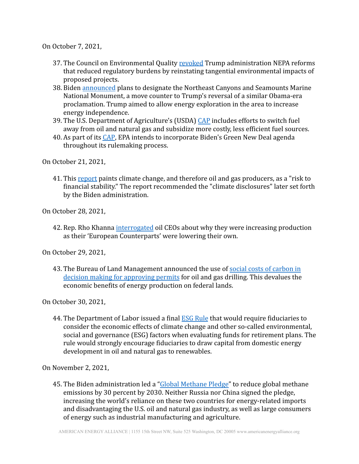On October 7, 2021,

- 37. The Council on Environmental Quality [revoked](https://www.federalregister.gov/documents/2021/10/07/2021-21867/national-environmental-policy-act-implementing-regulations-revisions) Trump administration NEPA reforms that reduced regulatory burdens by reinstating tangential environmental impacts of proposed projects.
- 38. Biden [announced](https://www.federalregister.gov/documents/2021/10/15/2021-22674/northeast-canyons-and-seamounts-marine-national-monument) plans to designate the Northeast Canyons and Seamounts Marine National Monument, a move counter to Trump's reversal of a similar Obama-era proclamation. Trump aimed to allow energy exploration in the area to increase energy independence.
- 39. The U.S. Department of Agriculture's (USDA) [CAP](https://www.sustainability.gov/pdfs/usda-2021-cap.pdf) includes efforts to switch fuel away from oil and natural gas and subsidize more costly, less efficient fuel sources.
- 40. As part of its [CAP](https://www.epa.gov/system/files/documents/2021-09/epa-climate-adaptation-plan-pdf-version.pdf), EPA intends to incorporate Biden's Green New Deal agenda throughout its rulemaking process.

On October 21, 2021,

41. This [report](https://home.treasury.gov/news/press-releases/jy0426) paints climate change, and therefore oil and gas producers, as a "risk to financial stability." The report recommended the "climate disclosures" later set forth by the Biden administration.

On October 28, 2021,

42. Rep. Rho Khanna [interrogated](https://www.cnn.com/politics/live-news/big-oil-climate-change-hearing-10-28-21/h_fec75beb7f5a7f13f69d917852666afa#:~:text=Democratic%20Rep.%20Ro%20Khanna%20was%20met%20with%20silence,%E2%80%93%20two%20initiatives%20the%20oil%20companies%20themselves%20support) oil CEOs about why they were increasing production as their 'European Counterparts' were lowering their own.

On October 29, 2021,

43. The Bureau of Land Management announced the use of social [costs of carbon in](https://www.blm.gov/sites/blm.gov/files/docs/2021-10/Fact%20Sheet%20GHG%20Emissions%20Report%2010292021.pdf) [decision making for approving permits](https://www.blm.gov/sites/blm.gov/files/docs/2021-10/Fact%20Sheet%20GHG%20Emissions%20Report%2010292021.pdf) for oil and gas drilling. This devalues the economic benefits of energy production on federal lands.

On October 30, 2021,

44. The Department of Labor issued a final **[ESG Rule](https://www.dol.gov/newsroom/releases/ebsa/ebsa20201030) that would require fiduciaries to** consider the economic effects of climate change and other so-called environmental, social and governance (ESG) factors when evaluating funds for retirement plans. The rule would strongly encourage fiduciaries to draw capital from domestic energy development in oil and natural gas to renewables.

On November 2, 2021,

45. The Biden administration led a "[Global Methane Pledge"](https://ec.europa.eu/commission/presscorner/detail/en/statement_21_5766) to reduce global methane emissions by 30 percent by 2030. Neither Russia nor China signed the pledge, increasing the world's reliance on these two countries for energy-related imports and disadvantaging the U.S. oil and natural gas industry, as well as large consumers of energy such as industrial manufacturing and agriculture.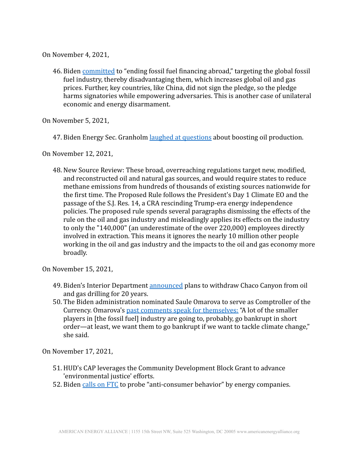On November 4, 2021,

46. Biden [committed](https://www.scientificamerican.com/article/u-s-agrees-to-end-fossil-fuel-financing-abroad/) to "ending fossil fuel financing abroad," targeting the global fossil fuel industry, thereby disadvantaging them, which increases global oil and gas prices. Further, key countries, like China, did not sign the pledge, so the pledge harms signatories while empowering adversaries. This is another case of unilateral economic and energy disarmament.

On November 5, 2021,

47. Biden Energy Sec. Granholm [laughed at questions](https://www.bloomberg.com/news/videos/2021-11-05/biden-s-energy-secretary-calls-opec-a-cartel-video) about boosting oil production.

On November 12, 2021,

48. New Source Review: These broad, overreaching regulations target new, modified, and reconstructed oil and natural gas sources, and would require states to reduce methane emissions from hundreds of thousands of existing sources nationwide for the first time. The Proposed Rule follows the President's Day 1 Climate EO and the passage of the S.J. Res. 14, a CRA rescinding Trump-era energy independence policies. The proposed rule spends several paragraphs dismissing the effects of the rule on the oil and gas industry and misleadingly applies its effects on the industry to only the "140,000" (an underestimate of the over 220,000) employees directly involved in extraction. This means it ignores the nearly 10 million other people working in the oil and gas industry and the impacts to the oil and gas economy more broadly.

On November 15, 2021,

- 49. Biden's Interior Department [announced](https://www.doi.gov/pressreleases/secretary-haaland-announces-steps-establish-protections-culturally-significant-chaco) plans to withdraw Chaco Canyon from oil and gas drilling for 20 years.
- 50. The Biden administration nominated Saule Omarova to serve as Comptroller of the Currency. Omarova's [past comments speak for themselves:](https://www.wsj.com/articles/we-want-them-to-go-bankrupt-saule-omarova-comptroller-biden-nominee-11636668294?mod=newsviewer_click) "A lot of the smaller players in [the fossil fuel] industry are going to, probably, go bankrupt in short order—at least, we want them to go bankrupt if we want to tackle climate change," she said.

On November 17, 2021,

- 51. HUD's CAP leverages the Community Development Block Grant to advance 'environmental justice' efforts.
- 52. Biden [calls on FTC](https://www.cnbc.com/2021/11/17/biden-calls-on-ftc-to-probe-anti-consumer-behavior-by-energy-companies-as-gas-prices-soar.html) to probe "anti-consumer behavior" by energy companies.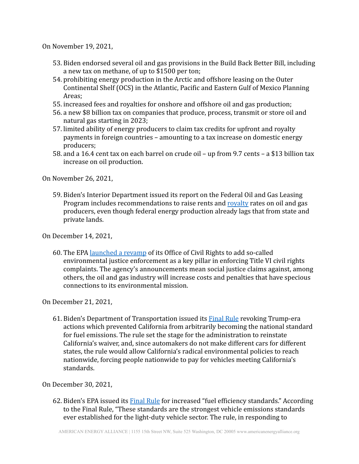On November 19, 2021,

- 53. Biden endorsed several oil and gas provisions in the Build Back Better Bill, including a new tax on methane, of up to \$1500 per ton;
- 54. prohibiting energy production in the Arctic and offshore leasing on the Outer Continental Shelf (OCS) in the Atlantic, Pacific and Eastern Gulf of Mexico Planning Areas;
- 55. increased fees and royalties for onshore and offshore oil and gas production;
- 56. a new \$8 billion tax on companies that produce, process, transmit or store oil and natural gas starting in 2023;
- 57. limited ability of energy producers to claim tax credits for upfront and royalty payments in foreign countries – amounting to a tax increase on domestic energy producers;
- 58. and a 16.4 cent tax on each barrel on crude oil up from 9.7 cents a \$13 billion tax increase on oil production.

On November 26, 2021,

59. Biden's Interior Department issued its report on the Federal Oil and Gas Leasing Program includes recommendations to raise rents and [royalty](https://www.doi.gov/sites/doi.gov/files/report-on-the-federal-oil-and-gas-leasing-program-doi-eo-14008.pdf) rates on oil and gas producers, even though federal energy production already lags that from state and private lands.

On December 14, 2021,

60. The EPA [launched a revamp](https://www.eenews.net/articles/epa-launches-civil-rights-revamp/) of its Office of Civil Rights to add so-called environmental justice enforcement as a key pillar in enforcing Title VI civil rights complaints. The agency's announcements mean social justice claims against, among others, the oil and gas industry will increase costs and penalties that have specious connections to its environmental mission.

On December 21, 2021,

61. Biden's Department of Transportation issued its **[Final](https://www.nhtsa.gov/press-releases/cafe-preemption-final-rule) Rule revoking Trump-era** actions which prevented California from arbitrarily becoming the national standard for fuel emissions. The rule set the stage for the administration to reinstate California's waiver, and, since automakers do not make different cars for different states, the rule would allow California's radical environmental policies to reach nationwide, forcing people nationwide to pay for vehicles meeting California's standards.

On December 30, 2021,

62. Biden's EPA issued its [Final Rule](https://www.jonesday.com/en/insights/2022/02/epa-issues-stringent-greenhouse-gas-emissions-standards-for-passenger-cars-and-light-trucks#:~:text=On%20December%2030%2C%202021%2C%20the,MY%22)%202023%2D2026.) for increased "fuel efficiency standards." According to the Final Rule, "These standards are the strongest vehicle emissions standards ever established for the light-duty vehicle sector. The rule, in responding to

AMERICAN ENERGY ALLIANCE | 1155 15th Street NW, Suite 525 Washington, DC 20005 www.americanenergyalliance.org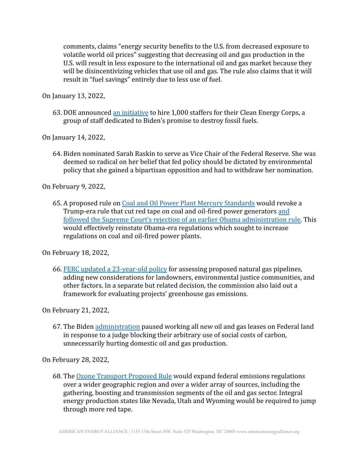comments, claims "energy security benefits to the U.S. from decreased exposure to volatile world oil prices" suggesting that decreasing oil and gas production in the U.S. will result in less exposure to the international oil and gas market because they will be disincentivizing vehicles that use oil and gas. The rule also claims that it will result in "fuel savings" entirely due to less use of fuel.

On January 13, 2022,

63. DOE announced [an initiative](https://www.energy.gov/CleanEnergyCorps) to hire 1,000 staffers for their Clean Energy Corps, a group of staff dedicated to Biden's promise to destroy fossil fuels.

On January 14, 2022,

64. Biden nominated Sarah Raskin to serve as Vice Chair of the Federal Reserve. She was deemed so radical on her belief that fed policy should be dictated by environmental policy that she gained a bipartisan opposition and had to withdraw her nomination.

On February 9, 2022,

65. A proposed rule on [Coal and Oil Power Plant Mercury](https://www.federalregister.gov/documents/2022/02/09/2022-02343/national-emission-standards-for-hazardous-air-pollutants-coal--and-oil-fired-electric-utility-steam) Standards would revoke a Trump-era rule that cut red tape on coal and oil-fired power generators [and](https://www.natlawreview.com/article/united-states-supreme-court-reverses-utility-mact-rule) [followed the Supreme Court's rejection of an earlier Obama administration rule.](https://www.natlawreview.com/article/united-states-supreme-court-reverses-utility-mact-rule) This would effectively reinstate Obama-era regulations which sought to increase regulations on coal and oil-fired power plants.

On February 18, 2022,

66. [FERC updated a 23-year-old policy](https://www.eenews.net/articles/ferc-issues-historic-overhaul-of-pipeline-approvals/) for assessing proposed natural gas pipelines, adding new considerations for landowners, environmental justice communities, and other factors. In a separate but related decision, the commission also laid out a framework for evaluating projects' greenhouse gas emissions.

On February 21, 2022,

67. The Biden [administration](https://www.cnn.com/2022/02/21/us/biden-climate-social-cost-of-carbon-court/index.html) paused working all new oil and gas leases on Federal land in response to a judge blocking their arbitrary use of social costs of carbon, unnecessarily hurting domestic oil and gas production.

On February 28, 2022,

68. The [Ozone Transport Proposed Rule](https://www.epa.gov/system/files/documents/2022-03/nprm_transport-fip_2060-av5_prepublication.pdf) would expand federal emissions regulations over a wider geographic region and over a wider array of sources, including the gathering, boosting and transmission segments of the oil and gas sector. Integral energy production states like Nevada, Utah and Wyoming would be required to jump through more red tape.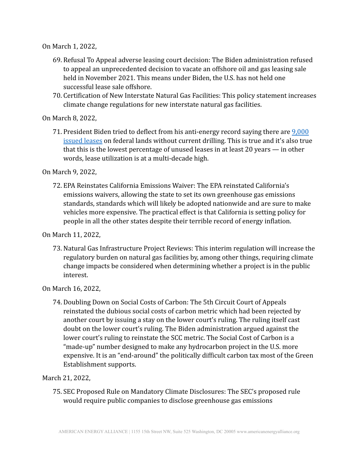On March 1, 2022,

- 69. Refusal To Appeal adverse leasing court decision: The Biden administration refused to appeal an unprecedented decision to vacate an offshore oil and gas leasing sale held in November 2021. This means under Biden, the U.S. has not held one successful lease sale offshore.
- 70. Certification of New Interstate Natural Gas Facilities: This policy statement increases climate change regulations for new interstate natural gas facilities.

On March 8, 2022,

71. President Biden tried to deflect from his anti-energy record saying there are [9,000](https://www.whitehouse.gov/briefing-room/speeches-remarks/2022/03/08/remarks-by-president-biden-announcing-u-s-ban-on-imports-of-russian-oil-liquefied-natural-gas-and-coal/) [issued leases](https://www.whitehouse.gov/briefing-room/speeches-remarks/2022/03/08/remarks-by-president-biden-announcing-u-s-ban-on-imports-of-russian-oil-liquefied-natural-gas-and-coal/) on federal lands without current drilling. This is true and it's also true that this is the lowest percentage of unused leases in at least 20 years — in other words, lease utilization is at a multi-decade high.

On March 9, 2022,

72. EPA Reinstates California Emissions Waiver: The EPA reinstated California's emissions waivers, allowing the state to set its own greenhouse gas emissions standards, standards which will likely be adopted nationwide and are sure to make vehicles more expensive. The practical effect is that California is setting policy for people in all the other states despite their terrible record of energy inflation.

On March 11, 2022,

73. Natural Gas Infrastructure Project Reviews: This interim regulation will increase the regulatory burden on natural gas facilities by, among other things, requiring climate change impacts be considered when determining whether a project is in the public interest.

On March 16, 2022,

74. Doubling Down on Social Costs of Carbon: The 5th Circuit Court of Appeals reinstated the dubious social costs of carbon metric which had been rejected by another court by issuing a stay on the lower court's ruling. The ruling itself cast doubt on the lower court's ruling. The Biden administration argued against the lower court's ruling to reinstate the SCC metric. The Social Cost of Carbon is a "made-up" number designed to make any hydrocarbon project in the U.S. more expensive. It is an "end-around" the politically difficult carbon tax most of the Green Establishment supports.

#### March 21, 2022,

75. SEC Proposed Rule on Mandatory Climate Disclosures: The SEC's proposed rule would require public companies to disclose greenhouse gas emissions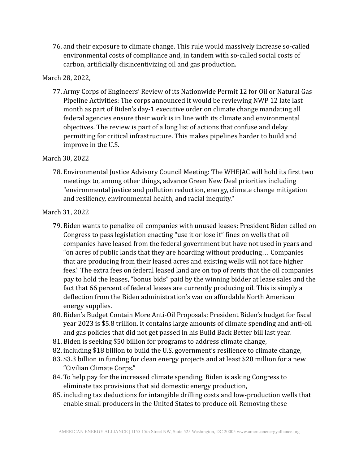76. and their exposure to climate change. This rule would massively increase so-called environmental costs of compliance and, in tandem with so-called social costs of carbon, artificially disincentivizing oil and gas production.

### March 28, 2022,

77. Army Corps of Engineers' Review of its Nationwide Permit 12 for Oil or Natural Gas Pipeline Activities: The corps announced it would be reviewing NWP 12 late last month as part of Biden's day-1 executive order on climate change mandating all federal agencies ensure their work is in line with its climate and environmental objectives. The review is part of a long list of actions that confuse and delay permitting for critical infrastructure. This makes pipelines harder to build and improve in the U.S.

## March 30, 2022

78. Environmental Justice Advisory Council Meeting: The WHEJAC will hold its first two meetings to, among other things, advance Green New Deal priorities including "environmental justice and pollution reduction, energy, climate change mitigation and resiliency, environmental health, and racial inequity."

#### March 31, 2022

- 79. Biden wants to penalize oil companies with unused leases: President Biden called on Congress to pass legislation enacting "use it or lose it" fines on wells that oil companies have leased from the federal government but have not used in years and "on acres of public lands that they are hoarding without producing… Companies that are producing from their leased acres and existing wells will not face higher fees." The extra fees on federal leased land are on top of rents that the oil companies pay to hold the leases, "bonus bids" paid by the winning bidder at lease sales and the fact that 66 percent of federal leases are currently producing oil. This is simply a deflection from the Biden administration's war on affordable North American energy supplies.
- 80. Biden's Budget Contain More Anti-Oil Proposals: President Biden's budget for fiscal year 2023 is \$5.8 trillion. It contains large amounts of climate spending and anti-oil and gas policies that did not get passed in his Build Back Better bill last year.
- 81. Biden is seeking \$50 billion for programs to address climate change,
- 82. including \$18 billion to build the U.S. government's resilience to climate change,
- 83. \$3.3 billion in funding for clean energy projects and at least \$20 million for a new "Civilian Climate Corps."
- 84. To help pay for the increased climate spending, Biden is asking Congress to eliminate tax provisions that aid domestic energy production,
- 85. including tax deductions for intangible drilling costs and low-production wells that enable small producers in the United States to produce oil. Removing these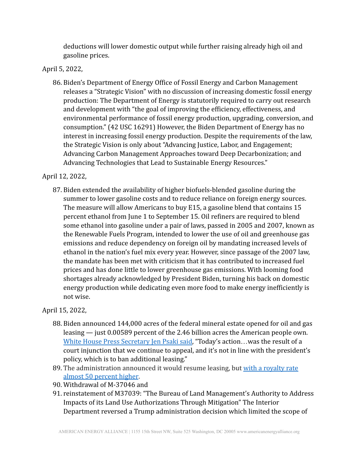deductions will lower domestic output while further raising already high oil and gasoline prices.

# April 5, 2022,

86. Biden's Department of Energy Office of Fossil Energy and Carbon Management releases a "Strategic Vision" with no discussion of increasing domestic fossil energy production: The Department of Energy is statutorily required to carry out research and development with "the goal of improving the efficiency, effectiveness, and environmental performance of fossil energy production, upgrading, conversion, and consumption." (42 USC 16291) However, the Biden Department of Energy has no interest in increasing fossil energy production. Despite the requirements of the law, the Strategic Vision is only about "Advancing Justice, Labor, and Engagement; Advancing Carbon Management Approaches toward Deep Decarbonization; and Advancing Technologies that Lead to Sustainable Energy Resources."

# April 12, 2022,

87. Biden extended the availability of higher biofuels-blended gasoline during the summer to lower gasoline costs and to reduce reliance on foreign energy sources. The measure will allow Americans to buy E15, a gasoline blend that contains 15 percent ethanol from June 1 to September 15. Oil refiners are required to blend some ethanol into gasoline under a pair of laws, passed in 2005 and 2007, known as the Renewable Fuels Program, intended to lower the use of oil and greenhouse gas emissions and reduce dependency on foreign oil by mandating increased levels of ethanol in the nation's fuel mix every year. However, since passage of the 2007 law, the mandate has been met with criticism that it has contributed to increased fuel prices and has done little to lower greenhouse gas emissions. With looming food shortages already acknowledged by President Biden, turning his back on domestic energy production while dedicating even more food to make energy inefficiently is not wise.

# April 15, 2022,

- 88. Biden announced 144,000 acres of the federal mineral estate opened for oil and gas leasing — just 0.00589 percent of the 2.46 billion acres the American people own. [White House Press Secretary Jen Psaki said,](https://thehill.com/policy/energy-environment/3275094-energy-environment-biden-officials-deflect-blame-over-oil-lease-sales/) "Today's action... was the result of a court injunction that we continue to appeal, and it's not in line with the president's policy, which is to ban additional leasing."
- 89. The administration announced it would resume leasing, but [with a royalty rate](https://www.washingtonexaminer.com/policy/biden-resumes-oil-and-gas-leases-on-federal-land-at-dramatically-lessened-scale) [almost 50 percent](https://www.washingtonexaminer.com/policy/biden-resumes-oil-and-gas-leases-on-federal-land-at-dramatically-lessened-scale) higher.
- 90. Withdrawal of M-37046 and
- 91. reinstatement of M37039: "The Bureau of Land Management's Authority to Address Impacts of its Land Use Authorizations Through Mitigation" The Interior Department reversed a Trump administration decision which limited the scope of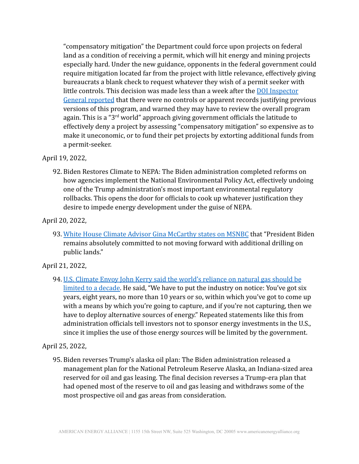"compensatory mitigation" the Department could force upon projects on federal land as a condition of receiving a permit, which will hit energy and mining projects especially hard. Under the new guidance, opponents in the federal government could require mitigation located far from the project with little relevance, effectively giving bureaucrats a blank check to request whatever they wish of a permit seeker with little controls. This decision was made less than a week after the [DOI Inspector](https://www.oversight.gov/sites/default/files/oig-reports/DOI/AuditBLM-CompensatoryMitigationProgramDataMgmt.pdf) [General reported](https://www.oversight.gov/sites/default/files/oig-reports/DOI/AuditBLM-CompensatoryMitigationProgramDataMgmt.pdf) that there were no controls or apparent records justifying previous versions of this program, and warned they may have to review the overall program again. This is a " $3<sup>rd</sup>$  world" approach giving government officials the latitude to effectively deny a project by assessing "compensatory mitigation" so expensive as to make it uneconomic, or to fund their pet projects by extorting additional funds from a permit-seeker.

#### April 19, 2022,

92. Biden Restores Climate to NEPA: The Biden administration completed reforms on how agencies implement the National Environmental Policy Act, effectively undoing one of the Trump administration's most important environmental regulatory rollbacks. This opens the door for officials to cook up whatever justification they desire to impede energy development under the guise of NEPA.

## April 20, 2022,

93. [White House Climate Advisor Gina McCarthy states on MSNBC](https://twitter.com/HallieOnMSNBC/status/1516894901895667715) that "President Biden remains absolutely committed to not moving forward with additional drilling on public lands."

# April 21, 2022,

94. [U.S. Climate Envoy John Kerry said the world's reliance on natural gas should be](https://www.bloomberg.com/news/articles/2022-04-21/u-s-climate-envoy-kerry-pushes-time-limit-on-new-gas-projects?sref=z2IrGdvd) [limited to a decade.](https://www.bloomberg.com/news/articles/2022-04-21/u-s-climate-envoy-kerry-pushes-time-limit-on-new-gas-projects?sref=z2IrGdvd) He said, "We have to put the industry on notice: You've got six years, eight years, no more than 10 years or so, within which you've got to come up with a means by which you're going to capture, and if you're not capturing, then we have to deploy alternative sources of energy." Repeated statements like this from administration officials tell investors not to sponsor energy investments in the U.S., since it implies the use of those energy sources will be limited by the government.

# April 25, 2022,

95. Biden reverses Trump's alaska oil plan: The Biden administration released a management plan for the National Petroleum Reserve Alaska, an Indiana-sized area reserved for oil and gas leasing. The final decision reverses a Trump-era plan that had opened most of the reserve to oil and gas leasing and withdraws some of the most prospective oil and gas areas from consideration.